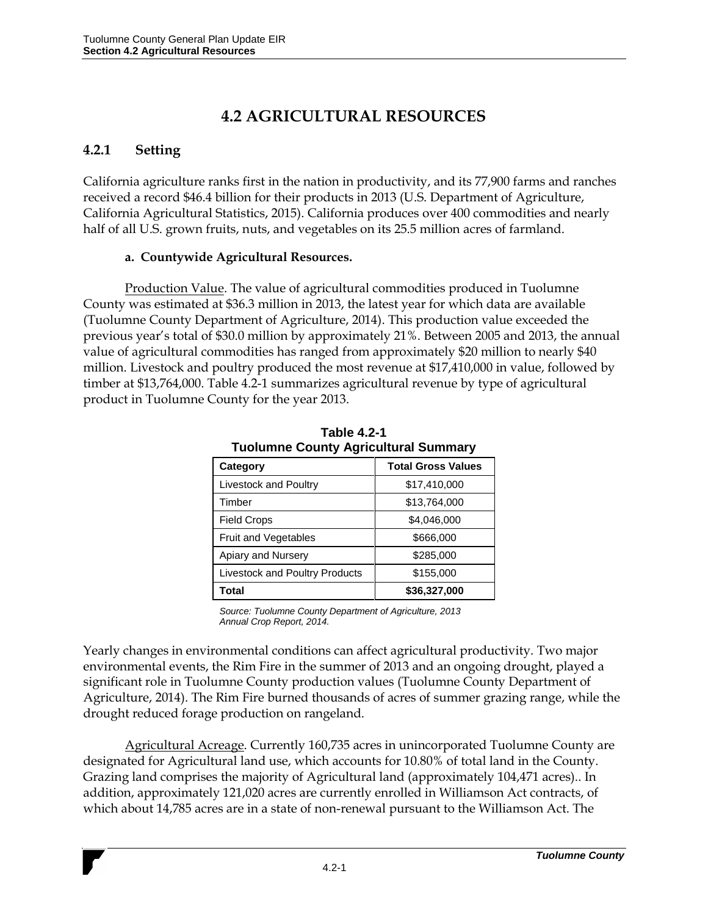# **4.2 AGRICULTURAL RESOURCES**

## **4.2.1 Setting**

California agriculture ranks first in the nation in productivity, and its 77,900 farms and ranches received a record \$46.4 billion for their products in 2013 (U.S. Department of Agriculture, California Agricultural Statistics, 2015). California produces over 400 commodities and nearly half of all U.S. grown fruits, nuts, and vegetables on its 25.5 million acres of farmland.

## **a. Countywide Agricultural Resources.**

Production Value. The value of agricultural commodities produced in Tuolumne County was estimated at \$36.3 million in 2013, the latest year for which data are available (Tuolumne County Department of Agriculture, 2014). This production value exceeded the previous year's total of \$30.0 million by approximately 21%. Between 2005 and 2013, the annual value of agricultural commodities has ranged from approximately \$20 million to nearly \$40 million. Livestock and poultry produced the most revenue at \$17,410,000 in value, followed by timber at \$13,764,000. Table 4.2-1 summarizes agricultural revenue by type of agricultural product in Tuolumne County for the year 2013.

| <b>I dolumne County Agricultural Summary</b> |                           |
|----------------------------------------------|---------------------------|
| Category                                     | <b>Total Gross Values</b> |
| Livestock and Poultry                        | \$17,410,000              |
| Timber                                       | \$13,764,000              |
| <b>Field Crops</b>                           | \$4,046,000               |
| <b>Fruit and Vegetables</b>                  | \$666,000                 |
| Apiary and Nursery                           | \$285,000                 |
| <b>Livestock and Poultry Products</b>        | \$155,000                 |
| Total                                        | \$36,327,000              |

**Table 4.2-1 Tuolumne County Agricultural Summary** 

*Source: Tuolumne County Department of Agriculture, 2013 Annual Crop Report, 2014.*

Yearly changes in environmental conditions can affect agricultural productivity. Two major environmental events, the Rim Fire in the summer of 2013 and an ongoing drought, played a significant role in Tuolumne County production values (Tuolumne County Department of Agriculture, 2014). The Rim Fire burned thousands of acres of summer grazing range, while the drought reduced forage production on rangeland.

Agricultural Acreage. Currently 160,735 acres in unincorporated Tuolumne County are designated for Agricultural land use, which accounts for 10.80% of total land in the County. Grazing land comprises the majority of Agricultural land (approximately 104,471 acres).. In addition, approximately 121,020 acres are currently enrolled in Williamson Act contracts, of which about 14,785 acres are in a state of non-renewal pursuant to the Williamson Act. The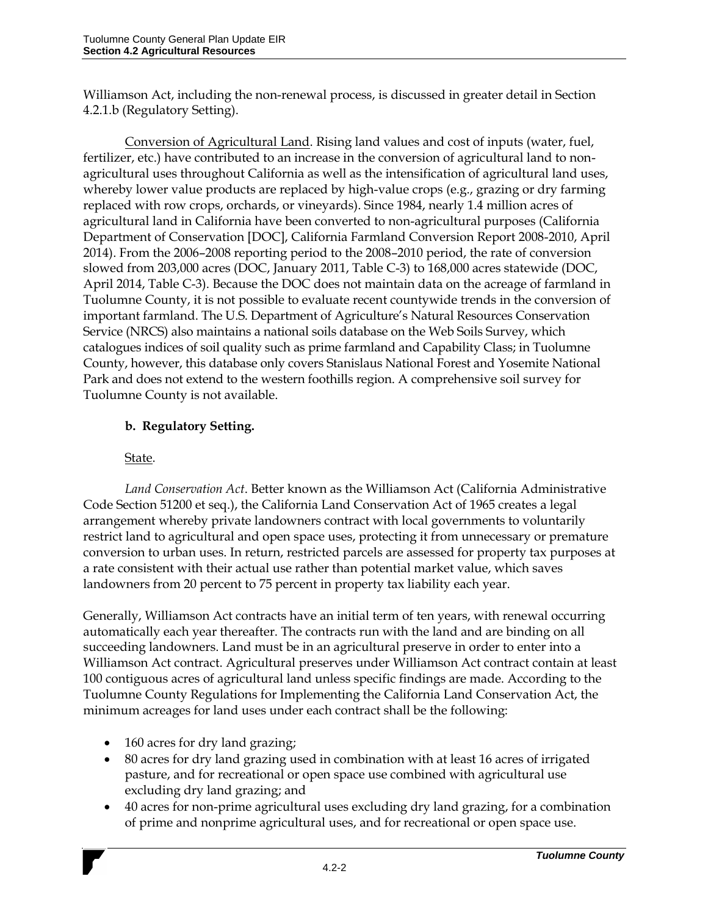Williamson Act, including the non-renewal process, is discussed in greater detail in Section 4.2.1.b (Regulatory Setting).

Conversion of Agricultural Land. Rising land values and cost of inputs (water, fuel, fertilizer, etc.) have contributed to an increase in the conversion of agricultural land to nonagricultural uses throughout California as well as the intensification of agricultural land uses, whereby lower value products are replaced by high-value crops (e.g., grazing or dry farming replaced with row crops, orchards, or vineyards). Since 1984, nearly 1.4 million acres of agricultural land in California have been converted to non-agricultural purposes (California Department of Conservation [DOC], California Farmland Conversion Report 2008-2010, April 2014). From the 2006–2008 reporting period to the 2008–2010 period, the rate of conversion slowed from 203,000 acres (DOC, January 2011, Table C-3) to 168,000 acres statewide (DOC, April 2014, Table C-3). Because the DOC does not maintain data on the acreage of farmland in Tuolumne County, it is not possible to evaluate recent countywide trends in the conversion of important farmland. The U.S. Department of Agriculture's Natural Resources Conservation Service (NRCS) also maintains a national soils database on the Web Soils Survey, which catalogues indices of soil quality such as prime farmland and Capability Class; in Tuolumne County, however, this database only covers Stanislaus National Forest and Yosemite National Park and does not extend to the western foothills region. A comprehensive soil survey for Tuolumne County is not available.

# **b. Regulatory Setting.**

## State.

*Land Conservation Act*. Better known as the Williamson Act (California Administrative Code Section 51200 et seq.), the California Land Conservation Act of 1965 creates a legal arrangement whereby private landowners contract with local governments to voluntarily restrict land to agricultural and open space uses, protecting it from unnecessary or premature conversion to urban uses. In return, restricted parcels are assessed for property tax purposes at a rate consistent with their actual use rather than potential market value, which saves landowners from 20 percent to 75 percent in property tax liability each year.

Generally, Williamson Act contracts have an initial term of ten years, with renewal occurring automatically each year thereafter. The contracts run with the land and are binding on all succeeding landowners. Land must be in an agricultural preserve in order to enter into a Williamson Act contract. Agricultural preserves under Williamson Act contract contain at least 100 contiguous acres of agricultural land unless specific findings are made. According to the Tuolumne County Regulations for Implementing the California Land Conservation Act, the minimum acreages for land uses under each contract shall be the following:

- 160 acres for dry land grazing;
- 80 acres for dry land grazing used in combination with at least 16 acres of irrigated pasture, and for recreational or open space use combined with agricultural use excluding dry land grazing; and
- 40 acres for non-prime agricultural uses excluding dry land grazing, for a combination of prime and nonprime agricultural uses, and for recreational or open space use.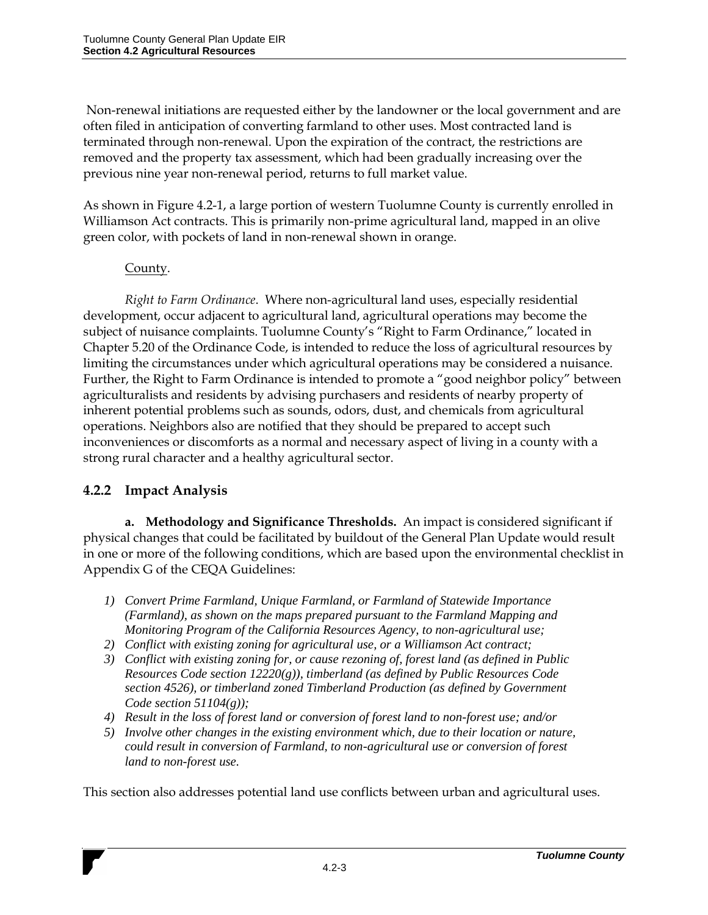Non-renewal initiations are requested either by the landowner or the local government and are often filed in anticipation of converting farmland to other uses. Most contracted land is terminated through non-renewal. Upon the expiration of the contract, the restrictions are removed and the property tax assessment, which had been gradually increasing over the previous nine year non-renewal period, returns to full market value.

As shown in Figure 4.2-1, a large portion of western Tuolumne County is currently enrolled in Williamson Act contracts. This is primarily non-prime agricultural land, mapped in an olive green color, with pockets of land in non-renewal shown in orange.

#### County.

*Right to Farm Ordinance*. Where non-agricultural land uses, especially residential development, occur adjacent to agricultural land, agricultural operations may become the subject of nuisance complaints. Tuolumne County's "Right to Farm Ordinance," located in Chapter 5.20 of the Ordinance Code, is intended to reduce the loss of agricultural resources by limiting the circumstances under which agricultural operations may be considered a nuisance. Further, the Right to Farm Ordinance is intended to promote a "good neighbor policy" between agriculturalists and residents by advising purchasers and residents of nearby property of inherent potential problems such as sounds, odors, dust, and chemicals from agricultural operations. Neighbors also are notified that they should be prepared to accept such inconveniences or discomforts as a normal and necessary aspect of living in a county with a strong rural character and a healthy agricultural sector.

## **4.2.2 Impact Analysis**

**a. Methodology and Significance Thresholds.** An impact is considered significant if physical changes that could be facilitated by buildout of the General Plan Update would result in one or more of the following conditions, which are based upon the environmental checklist in Appendix G of the CEQA Guidelines:

- *1) Convert Prime Farmland, Unique Farmland, or Farmland of Statewide Importance (Farmland), as shown on the maps prepared pursuant to the Farmland Mapping and Monitoring Program of the California Resources Agency, to non-agricultural use;*
- *2) Conflict with existing zoning for agricultural use, or a Williamson Act contract;*
- *3) Conflict with existing zoning for, or cause rezoning of, forest land (as defined in Public Resources Code section 12220(g)), timberland (as defined by Public Resources Code section 4526), or timberland zoned Timberland Production (as defined by Government Code section 51104(g));*
- *4) Result in the loss of forest land or conversion of forest land to non-forest use; and/or*
- *5) Involve other changes in the existing environment which, due to their location or nature, could result in conversion of Farmland, to non-agricultural use or conversion of forest land to non-forest use.*

This section also addresses potential land use conflicts between urban and agricultural uses.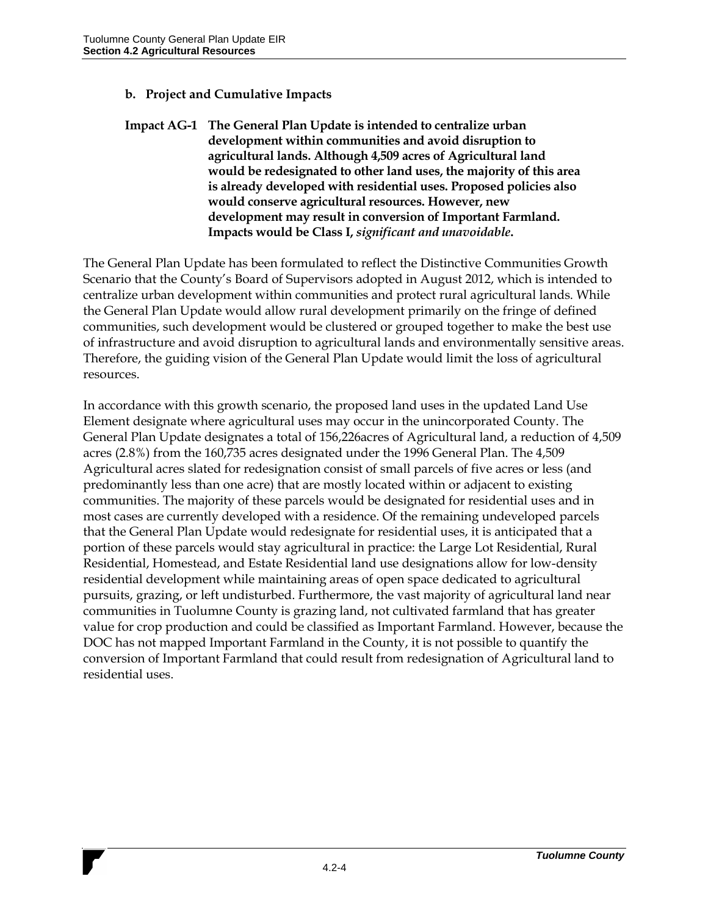#### **b. Project and Cumulative Impacts**

**Impact AG-1 The General Plan Update is intended to centralize urban development within communities and avoid disruption to agricultural lands. Although 4,509 acres of Agricultural land would be redesignated to other land uses, the majority of this area is already developed with residential uses. Proposed policies also would conserve agricultural resources. However, new development may result in conversion of Important Farmland. Impacts would be Class I,** *significant and unavoidable***.**

The General Plan Update has been formulated to reflect the Distinctive Communities Growth Scenario that the County's Board of Supervisors adopted in August 2012, which is intended to centralize urban development within communities and protect rural agricultural lands. While the General Plan Update would allow rural development primarily on the fringe of defined communities, such development would be clustered or grouped together to make the best use of infrastructure and avoid disruption to agricultural lands and environmentally sensitive areas. Therefore, the guiding vision of the General Plan Update would limit the loss of agricultural resources.

In accordance with this growth scenario, the proposed land uses in the updated Land Use Element designate where agricultural uses may occur in the unincorporated County. The General Plan Update designates a total of 156,226acres of Agricultural land, a reduction of 4,509 acres (2.8%) from the 160,735 acres designated under the 1996 General Plan. The 4,509 Agricultural acres slated for redesignation consist of small parcels of five acres or less (and predominantly less than one acre) that are mostly located within or adjacent to existing communities. The majority of these parcels would be designated for residential uses and in most cases are currently developed with a residence. Of the remaining undeveloped parcels that the General Plan Update would redesignate for residential uses, it is anticipated that a portion of these parcels would stay agricultural in practice: the Large Lot Residential, Rural Residential, Homestead, and Estate Residential land use designations allow for low-density residential development while maintaining areas of open space dedicated to agricultural pursuits, grazing, or left undisturbed. Furthermore, the vast majority of agricultural land near communities in Tuolumne County is grazing land, not cultivated farmland that has greater value for crop production and could be classified as Important Farmland. However, because the DOC has not mapped Important Farmland in the County, it is not possible to quantify the conversion of Important Farmland that could result from redesignation of Agricultural land to residential uses.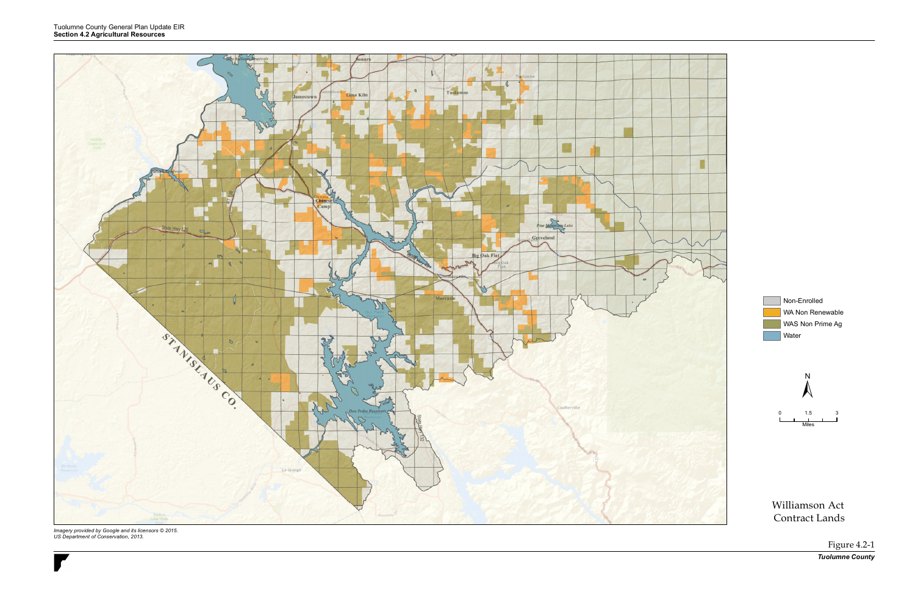Non-Enrolled WA Non Renewable WAS Non Prime Ag **Water** 

Williamson Act Contract Lands

> Figure 4.2-1 *Tuolumne County*





*Imagery provided by Google and its licensors © 2015. US Department of Conservation, 2013.*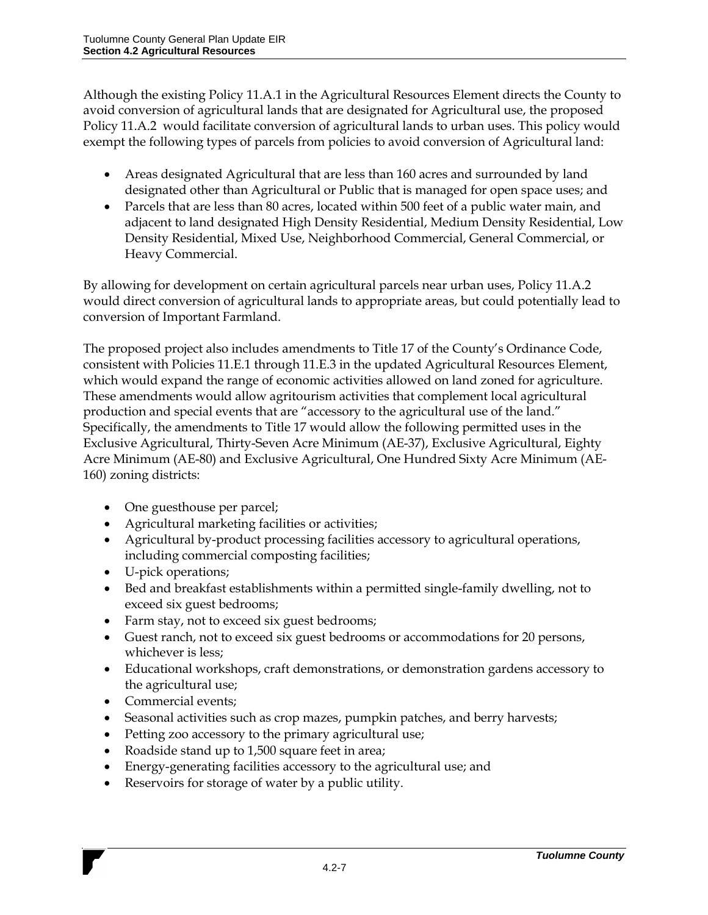Although the existing Policy 11.A.1 in the Agricultural Resources Element directs the County to avoid conversion of agricultural lands that are designated for Agricultural use, the proposed Policy 11.A.2 would facilitate conversion of agricultural lands to urban uses. This policy would exempt the following types of parcels from policies to avoid conversion of Agricultural land:

- Areas designated Agricultural that are less than 160 acres and surrounded by land designated other than Agricultural or Public that is managed for open space uses; and
- Parcels that are less than 80 acres, located within 500 feet of a public water main, and adjacent to land designated High Density Residential, Medium Density Residential, Low Density Residential, Mixed Use, Neighborhood Commercial, General Commercial, or Heavy Commercial.

By allowing for development on certain agricultural parcels near urban uses, Policy 11.A.2 would direct conversion of agricultural lands to appropriate areas, but could potentially lead to conversion of Important Farmland.

The proposed project also includes amendments to Title 17 of the County's Ordinance Code, consistent with Policies 11.E.1 through 11.E.3 in the updated Agricultural Resources Element, which would expand the range of economic activities allowed on land zoned for agriculture. These amendments would allow agritourism activities that complement local agricultural production and special events that are "accessory to the agricultural use of the land." Specifically, the amendments to Title 17 would allow the following permitted uses in the Exclusive Agricultural, Thirty-Seven Acre Minimum (AE-37), Exclusive Agricultural, Eighty Acre Minimum (AE-80) and Exclusive Agricultural, One Hundred Sixty Acre Minimum (AE-160) zoning districts:

- One guesthouse per parcel;
- Agricultural marketing facilities or activities;
- Agricultural by-product processing facilities accessory to agricultural operations, including commercial composting facilities;
- U-pick operations;
- Bed and breakfast establishments within a permitted single-family dwelling, not to exceed six guest bedrooms;
- Farm stay, not to exceed six guest bedrooms;
- Guest ranch, not to exceed six guest bedrooms or accommodations for 20 persons, whichever is less;
- Educational workshops, craft demonstrations, or demonstration gardens accessory to the agricultural use;
- Commercial events;
- Seasonal activities such as crop mazes, pumpkin patches, and berry harvests;
- Petting zoo accessory to the primary agricultural use;
- Roadside stand up to 1,500 square feet in area;
- Energy-generating facilities accessory to the agricultural use; and
- Reservoirs for storage of water by a public utility.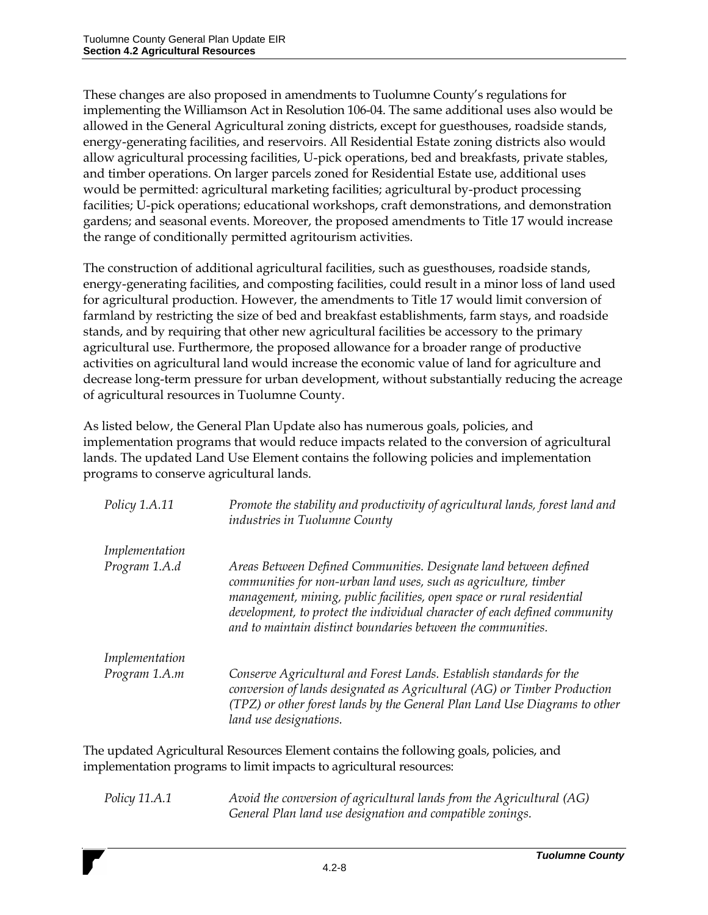These changes are also proposed in amendments to Tuolumne County's regulations for implementing the Williamson Act in Resolution 106-04. The same additional uses also would be allowed in the General Agricultural zoning districts, except for guesthouses, roadside stands, energy-generating facilities, and reservoirs. All Residential Estate zoning districts also would allow agricultural processing facilities, U-pick operations, bed and breakfasts, private stables, and timber operations. On larger parcels zoned for Residential Estate use, additional uses would be permitted: agricultural marketing facilities; agricultural by-product processing facilities; U-pick operations; educational workshops, craft demonstrations, and demonstration gardens; and seasonal events. Moreover, the proposed amendments to Title 17 would increase the range of conditionally permitted agritourism activities.

The construction of additional agricultural facilities, such as guesthouses, roadside stands, energy-generating facilities, and composting facilities, could result in a minor loss of land used for agricultural production. However, the amendments to Title 17 would limit conversion of farmland by restricting the size of bed and breakfast establishments, farm stays, and roadside stands, and by requiring that other new agricultural facilities be accessory to the primary agricultural use. Furthermore, the proposed allowance for a broader range of productive activities on agricultural land would increase the economic value of land for agriculture and decrease long-term pressure for urban development, without substantially reducing the acreage of agricultural resources in Tuolumne County.

As listed below, the General Plan Update also has numerous goals, policies, and implementation programs that would reduce impacts related to the conversion of agricultural lands. The updated Land Use Element contains the following policies and implementation programs to conserve agricultural lands.

| Policy 1.A.11  | Promote the stability and productivity of agricultural lands, forest land and<br>industries in Tuolumne County                                                                                                                                                                                                                                                |
|----------------|---------------------------------------------------------------------------------------------------------------------------------------------------------------------------------------------------------------------------------------------------------------------------------------------------------------------------------------------------------------|
| Implementation |                                                                                                                                                                                                                                                                                                                                                               |
| Program 1.A.d  | Areas Between Defined Communities. Designate land between defined<br>communities for non-urban land uses, such as agriculture, timber<br>management, mining, public facilities, open space or rural residential<br>development, to protect the individual character of each defined community<br>and to maintain distinct boundaries between the communities. |
| Implementation |                                                                                                                                                                                                                                                                                                                                                               |
| Program 1.A.m  | Conserve Agricultural and Forest Lands. Establish standards for the<br>conversion of lands designated as Agricultural (AG) or Timber Production<br>(TPZ) or other forest lands by the General Plan Land Use Diagrams to other<br>land use designations.                                                                                                       |

The updated Agricultural Resources Element contains the following goals, policies, and implementation programs to limit impacts to agricultural resources:

*Policy 11.A.1 Avoid the conversion of agricultural lands from the Agricultural (AG) General Plan land use designation and compatible zonings.*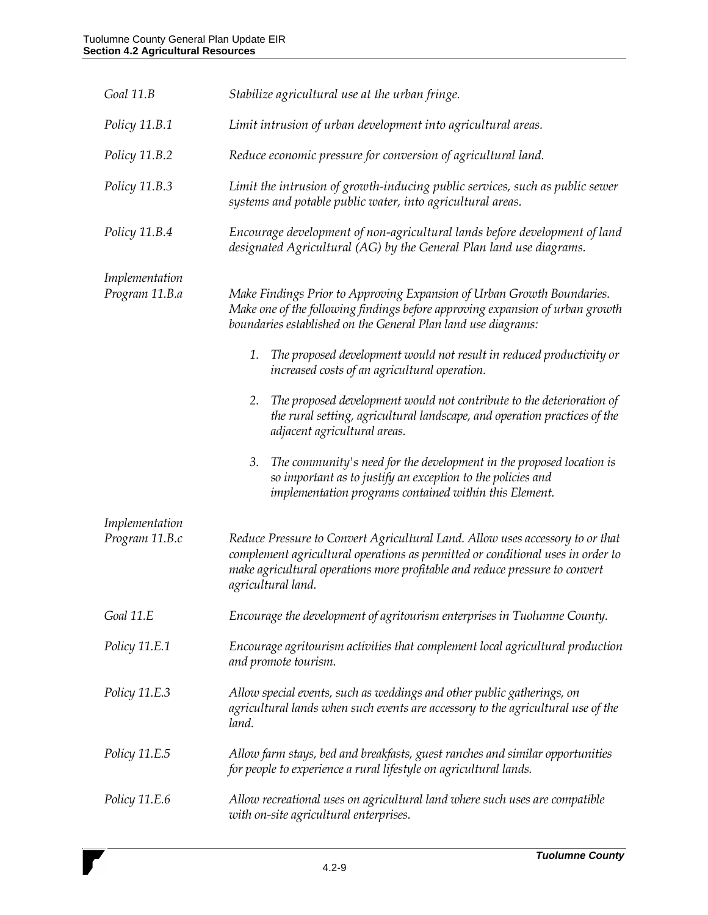| Goal 11.B                        | Stabilize agricultural use at the urban fringe.                                                                                                                                                                                                                       |
|----------------------------------|-----------------------------------------------------------------------------------------------------------------------------------------------------------------------------------------------------------------------------------------------------------------------|
| Policy 11.B.1                    | Limit intrusion of urban development into agricultural areas.                                                                                                                                                                                                         |
| Policy 11.B.2                    | Reduce economic pressure for conversion of agricultural land.                                                                                                                                                                                                         |
| Policy 11.B.3                    | Limit the intrusion of growth-inducing public services, such as public sewer<br>systems and potable public water, into agricultural areas.                                                                                                                            |
| Policy 11.B.4                    | Encourage development of non-agricultural lands before development of land<br>designated Agricultural (AG) by the General Plan land use diagrams.                                                                                                                     |
| Implementation<br>Program 11.B.a | Make Findings Prior to Approving Expansion of Urban Growth Boundaries.<br>Make one of the following findings before approving expansion of urban growth<br>boundaries established on the General Plan land use diagrams:                                              |
|                                  | The proposed development would not result in reduced productivity or<br>1.<br>increased costs of an agricultural operation.                                                                                                                                           |
|                                  | The proposed development would not contribute to the deterioration of<br>2.<br>the rural setting, agricultural landscape, and operation practices of the<br>adjacent agricultural areas.                                                                              |
|                                  | The community's need for the development in the proposed location is<br>3.<br>so important as to justify an exception to the policies and<br>implementation programs contained within this Element.                                                                   |
| Implementation                   |                                                                                                                                                                                                                                                                       |
| Program 11.B.c                   | Reduce Pressure to Convert Agricultural Land. Allow uses accessory to or that<br>complement agricultural operations as permitted or conditional uses in order to<br>make agricultural operations more profitable and reduce pressure to convert<br>agricultural land. |
| Goal 11.E                        | Encourage the development of agritourism enterprises in Tuolumne County.                                                                                                                                                                                              |
| Policy 11.E.1                    | Encourage agritourism activities that complement local agricultural production<br>and promote tourism.                                                                                                                                                                |
| Policy 11.E.3                    | Allow special events, such as weddings and other public gatherings, on<br>agricultural lands when such events are accessory to the agricultural use of the<br>land.                                                                                                   |
| Policy 11.E.5                    | Allow farm stays, bed and breakfasts, guest ranches and similar opportunities<br>for people to experience a rural lifestyle on agricultural lands.                                                                                                                    |
| Policy 11.E.6                    | Allow recreational uses on agricultural land where such uses are compatible<br>with on-site agricultural enterprises.                                                                                                                                                 |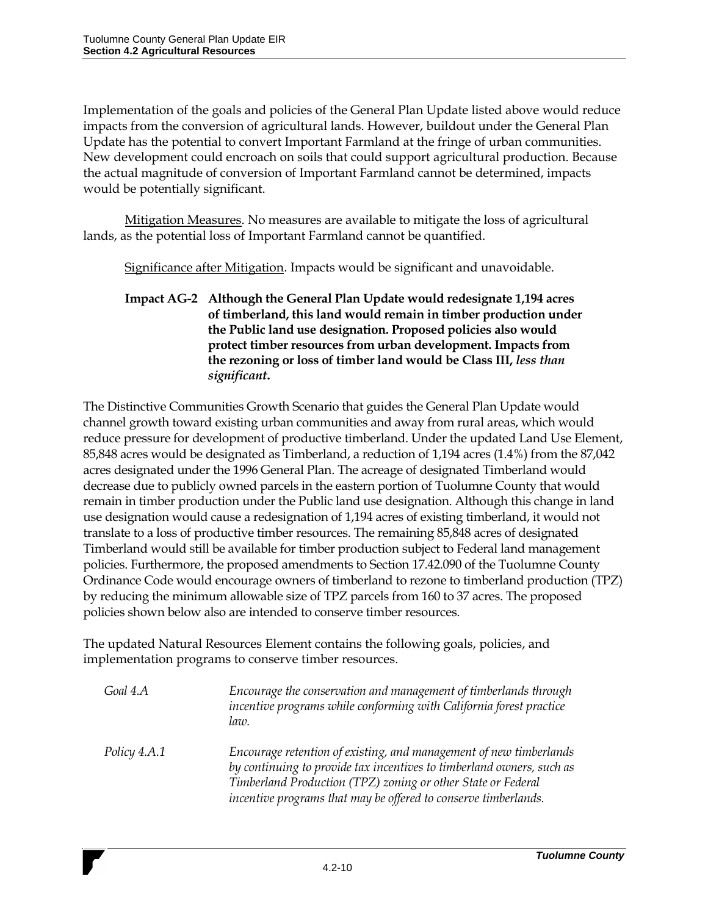Implementation of the goals and policies of the General Plan Update listed above would reduce impacts from the conversion of agricultural lands. However, buildout under the General Plan Update has the potential to convert Important Farmland at the fringe of urban communities. New development could encroach on soils that could support agricultural production. Because the actual magnitude of conversion of Important Farmland cannot be determined, impacts would be potentially significant.

Mitigation Measures. No measures are available to mitigate the loss of agricultural lands, as the potential loss of Important Farmland cannot be quantified.

Significance after Mitigation. Impacts would be significant and unavoidable.

**Impact AG-2 Although the General Plan Update would redesignate 1,194 acres of timberland, this land would remain in timber production under the Public land use designation. Proposed policies also would protect timber resources from urban development. Impacts from the rezoning or loss of timber land would be Class III,** *less than significant***.**

The Distinctive Communities Growth Scenario that guides the General Plan Update would channel growth toward existing urban communities and away from rural areas, which would reduce pressure for development of productive timberland. Under the updated Land Use Element, 85,848 acres would be designated as Timberland, a reduction of 1,194 acres (1.4%) from the 87,042 acres designated under the 1996 General Plan. The acreage of designated Timberland would decrease due to publicly owned parcels in the eastern portion of Tuolumne County that would remain in timber production under the Public land use designation. Although this change in land use designation would cause a redesignation of 1,194 acres of existing timberland, it would not translate to a loss of productive timber resources. The remaining 85,848 acres of designated Timberland would still be available for timber production subject to Federal land management policies. Furthermore, the proposed amendments to Section 17.42.090 of the Tuolumne County Ordinance Code would encourage owners of timberland to rezone to timberland production (TPZ) by reducing the minimum allowable size of TPZ parcels from 160 to 37 acres. The proposed policies shown below also are intended to conserve timber resources.

The updated Natural Resources Element contains the following goals, policies, and implementation programs to conserve timber resources.

*Goal 4.A Encourage the conservation and management of timberlands through incentive programs while conforming with California forest practice law. Policy 4.A.1 Encourage retention of existing, and management of new timberlands by continuing to provide tax incentives to timberland owners, such as Timberland Production (TPZ) zoning or other State or Federal incentive programs that may be offered to conserve timberlands.*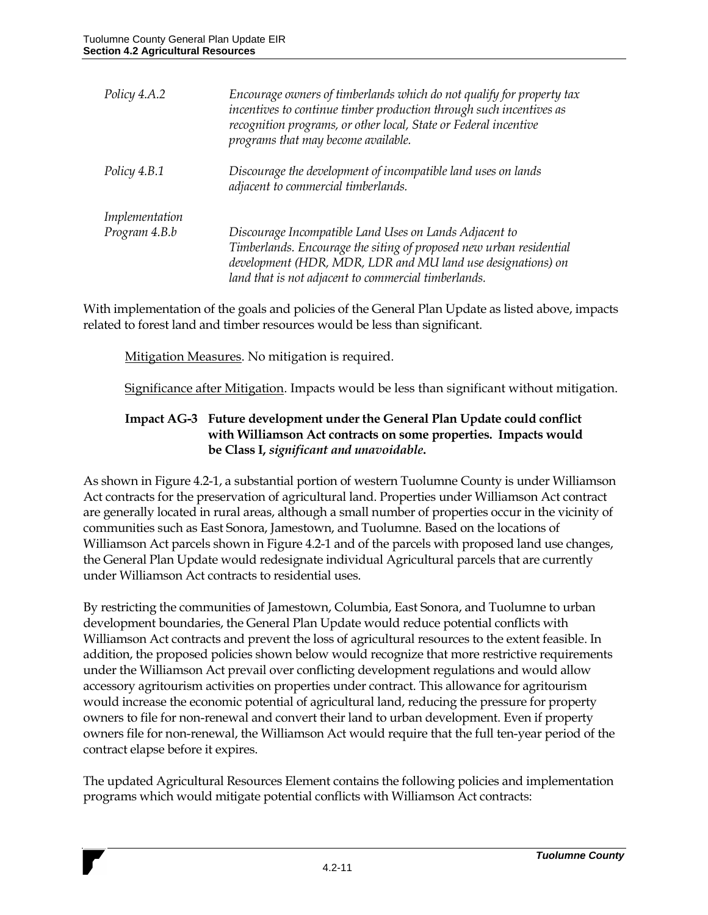| Encourage owners of timberlands which do not qualify for property tax<br>incentives to continue timber production through such incentives as<br>recognition programs, or other local, State or Federal incentive<br>programs that may become available. |
|---------------------------------------------------------------------------------------------------------------------------------------------------------------------------------------------------------------------------------------------------------|
| Discourage the development of incompatible land uses on lands<br>adjacent to commercial timberlands.                                                                                                                                                    |
|                                                                                                                                                                                                                                                         |
| Discourage Incompatible Land Uses on Lands Adjacent to                                                                                                                                                                                                  |
| Timberlands. Encourage the siting of proposed new urban residential<br>development (HDR, MDR, LDR and MU land use designations) on                                                                                                                      |
| land that is not adjacent to commercial timberlands.                                                                                                                                                                                                    |
|                                                                                                                                                                                                                                                         |

With implementation of the goals and policies of the General Plan Update as listed above, impacts related to forest land and timber resources would be less than significant.

Mitigation Measures. No mitigation is required.

Significance after Mitigation. Impacts would be less than significant without mitigation.

#### **Impact AG-3 Future development under the General Plan Update could conflict with Williamson Act contracts on some properties. Impacts would be Class I,** *significant and unavoidable***.**

As shown in Figure 4.2-1, a substantial portion of western Tuolumne County is under Williamson Act contracts for the preservation of agricultural land. Properties under Williamson Act contract are generally located in rural areas, although a small number of properties occur in the vicinity of communities such as East Sonora, Jamestown, and Tuolumne. Based on the locations of Williamson Act parcels shown in Figure 4.2-1 and of the parcels with proposed land use changes, the General Plan Update would redesignate individual Agricultural parcels that are currently under Williamson Act contracts to residential uses.

By restricting the communities of Jamestown, Columbia, East Sonora, and Tuolumne to urban development boundaries, the General Plan Update would reduce potential conflicts with Williamson Act contracts and prevent the loss of agricultural resources to the extent feasible. In addition, the proposed policies shown below would recognize that more restrictive requirements under the Williamson Act prevail over conflicting development regulations and would allow accessory agritourism activities on properties under contract. This allowance for agritourism would increase the economic potential of agricultural land, reducing the pressure for property owners to file for non-renewal and convert their land to urban development. Even if property owners file for non-renewal, the Williamson Act would require that the full ten-year period of the contract elapse before it expires.

The updated Agricultural Resources Element contains the following policies and implementation programs which would mitigate potential conflicts with Williamson Act contracts: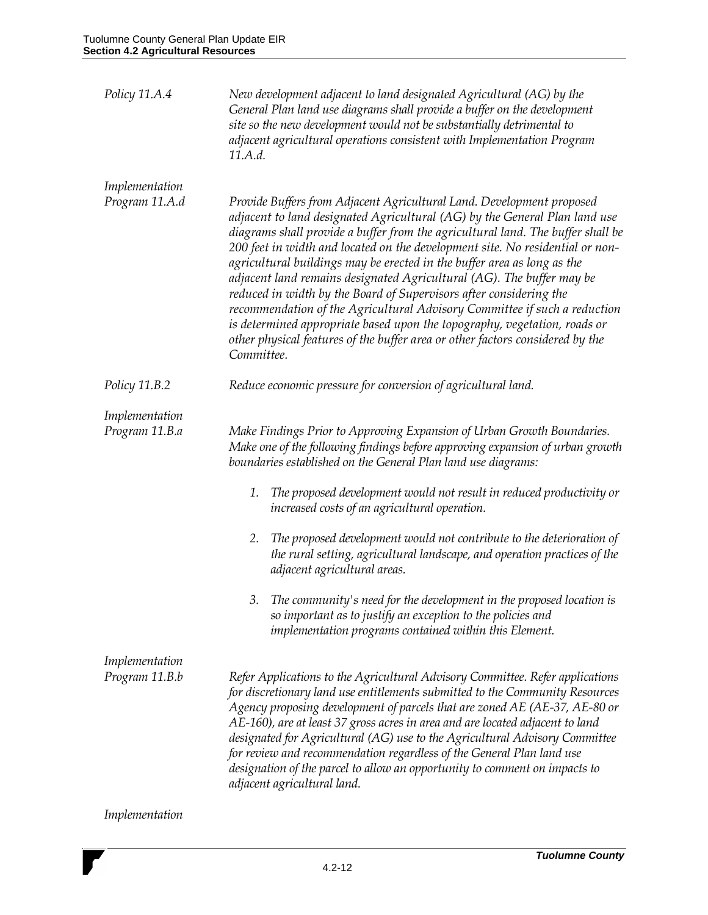| Policy 11.A.4                    | New development adjacent to land designated Agricultural (AG) by the<br>General Plan land use diagrams shall provide a buffer on the development<br>site so the new development would not be substantially detrimental to<br>adjacent agricultural operations consistent with Implementation Program<br>11.A.d.                                                                                                                                                                                                                                                                                                                                                                                                                                                                                            |
|----------------------------------|------------------------------------------------------------------------------------------------------------------------------------------------------------------------------------------------------------------------------------------------------------------------------------------------------------------------------------------------------------------------------------------------------------------------------------------------------------------------------------------------------------------------------------------------------------------------------------------------------------------------------------------------------------------------------------------------------------------------------------------------------------------------------------------------------------|
| Implementation<br>Program 11.A.d | Provide Buffers from Adjacent Agricultural Land. Development proposed<br>adjacent to land designated Agricultural (AG) by the General Plan land use<br>diagrams shall provide a buffer from the agricultural land. The buffer shall be<br>200 feet in width and located on the development site. No residential or non-<br>agricultural buildings may be erected in the buffer area as long as the<br>adjacent land remains designated Agricultural (AG). The buffer may be<br>reduced in width by the Board of Supervisors after considering the<br>recommendation of the Agricultural Advisory Committee if such a reduction<br>is determined appropriate based upon the topography, vegetation, roads or<br>other physical features of the buffer area or other factors considered by the<br>Committee. |
| Policy 11.B.2                    | Reduce economic pressure for conversion of agricultural land.                                                                                                                                                                                                                                                                                                                                                                                                                                                                                                                                                                                                                                                                                                                                              |
| Implementation<br>Program 11.B.a | Make Findings Prior to Approving Expansion of Urban Growth Boundaries.<br>Make one of the following findings before approving expansion of urban growth<br>boundaries established on the General Plan land use diagrams:                                                                                                                                                                                                                                                                                                                                                                                                                                                                                                                                                                                   |
|                                  | The proposed development would not result in reduced productivity or<br>1.<br>increased costs of an agricultural operation.                                                                                                                                                                                                                                                                                                                                                                                                                                                                                                                                                                                                                                                                                |
|                                  | The proposed development would not contribute to the deterioration of<br>2.<br>the rural setting, agricultural landscape, and operation practices of the<br>adjacent agricultural areas.                                                                                                                                                                                                                                                                                                                                                                                                                                                                                                                                                                                                                   |
|                                  | The community's need for the development in the proposed location is<br>so important as to justify an exception to the policies and<br>implementation programs contained within this Element.                                                                                                                                                                                                                                                                                                                                                                                                                                                                                                                                                                                                              |
| Implementation<br>Program 11.B.b | Refer Applications to the Agricultural Advisory Committee. Refer applications<br>for discretionary land use entitlements submitted to the Community Resources<br>Agency proposing development of parcels that are zoned AE (AE-37, AE-80 or<br>AE-160), are at least 37 gross acres in area and are located adjacent to land<br>designated for Agricultural (AG) use to the Agricultural Advisory Committee<br>for review and recommendation regardless of the General Plan land use<br>designation of the parcel to allow an opportunity to comment on impacts to<br>adjacent agricultural land.                                                                                                                                                                                                          |

## *Implementation*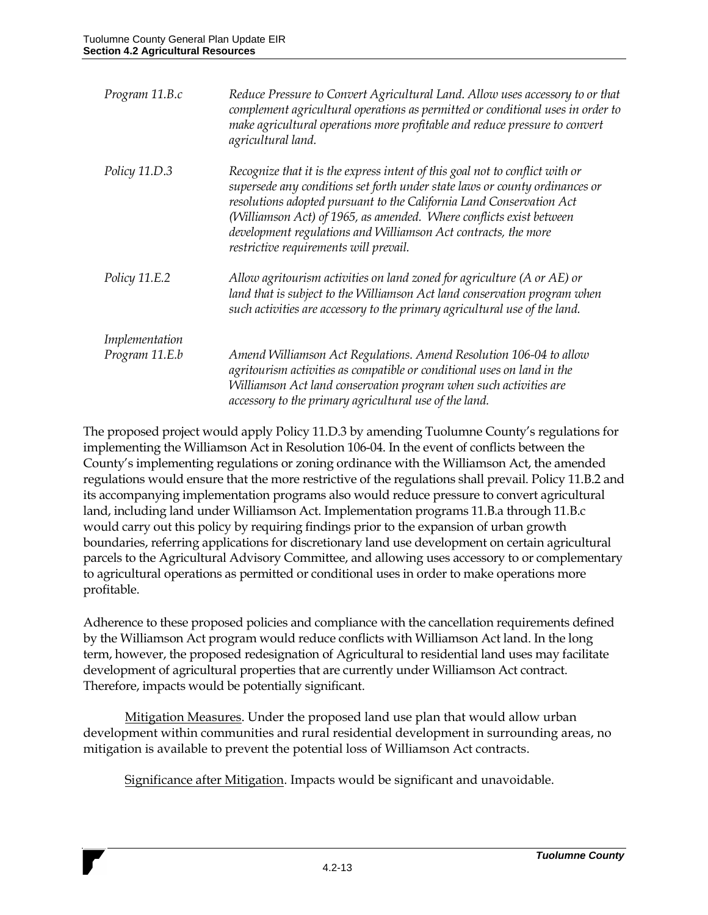| Program 11.B.c | Reduce Pressure to Convert Agricultural Land. Allow uses accessory to or that<br>complement agricultural operations as permitted or conditional uses in order to<br>make agricultural operations more profitable and reduce pressure to convert<br>agricultural land.                                                                                                                                                  |
|----------------|------------------------------------------------------------------------------------------------------------------------------------------------------------------------------------------------------------------------------------------------------------------------------------------------------------------------------------------------------------------------------------------------------------------------|
| Policy 11.D.3  | Recognize that it is the express intent of this goal not to conflict with or<br>supersede any conditions set forth under state laws or county ordinances or<br>resolutions adopted pursuant to the California Land Conservation Act<br>(Williamson Act) of 1965, as amended. Where conflicts exist between<br>development regulations and Williamson Act contracts, the more<br>restrictive requirements will prevail. |
| Policy 11.E.2  | Allow agritourism activities on land zoned for agriculture (A or AE) or<br>land that is subject to the Williamson Act land conservation program when<br>such activities are accessory to the primary agricultural use of the land.                                                                                                                                                                                     |
| Implementation |                                                                                                                                                                                                                                                                                                                                                                                                                        |
| Program 11.E.b | Amend Williamson Act Regulations. Amend Resolution 106-04 to allow<br>agritourism activities as compatible or conditional uses on land in the<br>Williamson Act land conservation program when such activities are<br>accessory to the primary agricultural use of the land.                                                                                                                                           |

The proposed project would apply Policy 11.D.3 by amending Tuolumne County's regulations for implementing the Williamson Act in Resolution 106-04. In the event of conflicts between the County's implementing regulations or zoning ordinance with the Williamson Act, the amended regulations would ensure that the more restrictive of the regulations shall prevail. Policy 11.B.2 and its accompanying implementation programs also would reduce pressure to convert agricultural land, including land under Williamson Act. Implementation programs 11.B.a through 11.B.c would carry out this policy by requiring findings prior to the expansion of urban growth boundaries, referring applications for discretionary land use development on certain agricultural parcels to the Agricultural Advisory Committee, and allowing uses accessory to or complementary to agricultural operations as permitted or conditional uses in order to make operations more profitable.

Adherence to these proposed policies and compliance with the cancellation requirements defined by the Williamson Act program would reduce conflicts with Williamson Act land. In the long term, however, the proposed redesignation of Agricultural to residential land uses may facilitate development of agricultural properties that are currently under Williamson Act contract. Therefore, impacts would be potentially significant.

Mitigation Measures. Under the proposed land use plan that would allow urban development within communities and rural residential development in surrounding areas, no mitigation is available to prevent the potential loss of Williamson Act contracts.

Significance after Mitigation. Impacts would be significant and unavoidable.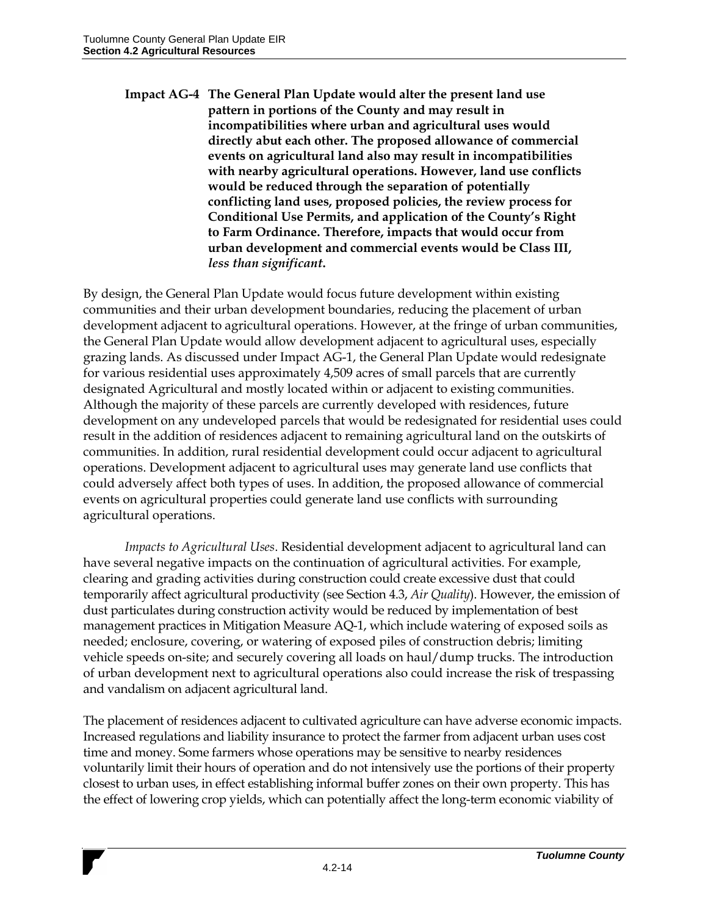**Impact AG-4 The General Plan Update would alter the present land use pattern in portions of the County and may result in incompatibilities where urban and agricultural uses would directly abut each other. The proposed allowance of commercial events on agricultural land also may result in incompatibilities with nearby agricultural operations. However, land use conflicts would be reduced through the separation of potentially conflicting land uses, proposed policies, the review process for Conditional Use Permits, and application of the County's Right to Farm Ordinance. Therefore, impacts that would occur from urban development and commercial events would be Class III,**  *less than significant***.**

By design, the General Plan Update would focus future development within existing communities and their urban development boundaries, reducing the placement of urban development adjacent to agricultural operations. However, at the fringe of urban communities, the General Plan Update would allow development adjacent to agricultural uses, especially grazing lands. As discussed under Impact AG-1, the General Plan Update would redesignate for various residential uses approximately 4,509 acres of small parcels that are currently designated Agricultural and mostly located within or adjacent to existing communities. Although the majority of these parcels are currently developed with residences, future development on any undeveloped parcels that would be redesignated for residential uses could result in the addition of residences adjacent to remaining agricultural land on the outskirts of communities. In addition, rural residential development could occur adjacent to agricultural operations. Development adjacent to agricultural uses may generate land use conflicts that could adversely affect both types of uses. In addition, the proposed allowance of commercial events on agricultural properties could generate land use conflicts with surrounding agricultural operations.

*Impacts to Agricultural Uses*. Residential development adjacent to agricultural land can have several negative impacts on the continuation of agricultural activities. For example, clearing and grading activities during construction could create excessive dust that could temporarily affect agricultural productivity (see Section 4.3, *Air Quality*). However, the emission of dust particulates during construction activity would be reduced by implementation of best management practices in Mitigation Measure AQ-1, which include watering of exposed soils as needed; enclosure, covering, or watering of exposed piles of construction debris; limiting vehicle speeds on-site; and securely covering all loads on haul/dump trucks. The introduction of urban development next to agricultural operations also could increase the risk of trespassing and vandalism on adjacent agricultural land.

The placement of residences adjacent to cultivated agriculture can have adverse economic impacts. Increased regulations and liability insurance to protect the farmer from adjacent urban uses cost time and money. Some farmers whose operations may be sensitive to nearby residences voluntarily limit their hours of operation and do not intensively use the portions of their property closest to urban uses, in effect establishing informal buffer zones on their own property. This has the effect of lowering crop yields, which can potentially affect the long-term economic viability of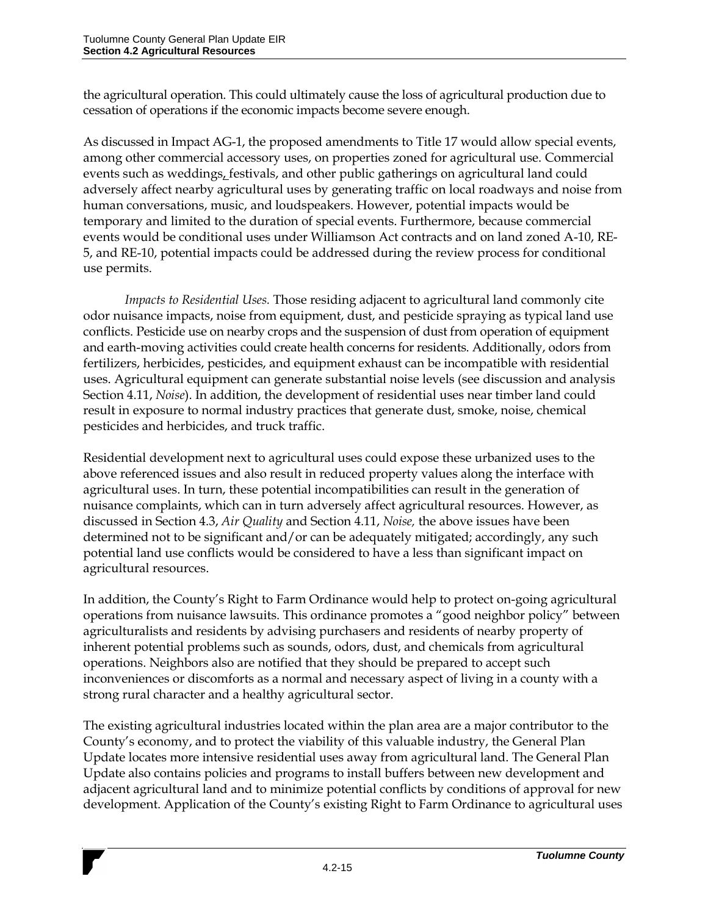the agricultural operation. This could ultimately cause the loss of agricultural production due to cessation of operations if the economic impacts become severe enough.

As discussed in Impact AG-1, the proposed amendments to Title 17 would allow special events, among other commercial accessory uses, on properties zoned for agricultural use. Commercial events such as weddings, festivals, and other public gatherings on agricultural land could adversely affect nearby agricultural uses by generating traffic on local roadways and noise from human conversations, music, and loudspeakers. However, potential impacts would be temporary and limited to the duration of special events. Furthermore, because commercial events would be conditional uses under Williamson Act contracts and on land zoned A-10, RE-5, and RE-10, potential impacts could be addressed during the review process for conditional use permits.

*Impacts to Residential Uses.* Those residing adjacent to agricultural land commonly cite odor nuisance impacts, noise from equipment, dust, and pesticide spraying as typical land use conflicts. Pesticide use on nearby crops and the suspension of dust from operation of equipment and earth-moving activities could create health concerns for residents. Additionally, odors from fertilizers, herbicides, pesticides, and equipment exhaust can be incompatible with residential uses. Agricultural equipment can generate substantial noise levels (see discussion and analysis Section 4.11, *Noise*). In addition, the development of residential uses near timber land could result in exposure to normal industry practices that generate dust, smoke, noise, chemical pesticides and herbicides, and truck traffic.

Residential development next to agricultural uses could expose these urbanized uses to the above referenced issues and also result in reduced property values along the interface with agricultural uses. In turn, these potential incompatibilities can result in the generation of nuisance complaints, which can in turn adversely affect agricultural resources. However, as discussed in Section 4.3, *Air Quality* and Section 4.11, *Noise,* the above issues have been determined not to be significant and/or can be adequately mitigated; accordingly, any such potential land use conflicts would be considered to have a less than significant impact on agricultural resources.

In addition, the County's Right to Farm Ordinance would help to protect on-going agricultural operations from nuisance lawsuits. This ordinance promotes a "good neighbor policy" between agriculturalists and residents by advising purchasers and residents of nearby property of inherent potential problems such as sounds, odors, dust, and chemicals from agricultural operations. Neighbors also are notified that they should be prepared to accept such inconveniences or discomforts as a normal and necessary aspect of living in a county with a strong rural character and a healthy agricultural sector.

The existing agricultural industries located within the plan area are a major contributor to the County's economy, and to protect the viability of this valuable industry, the General Plan Update locates more intensive residential uses away from agricultural land. The General Plan Update also contains policies and programs to install buffers between new development and adjacent agricultural land and to minimize potential conflicts by conditions of approval for new development. Application of the County's existing Right to Farm Ordinance to agricultural uses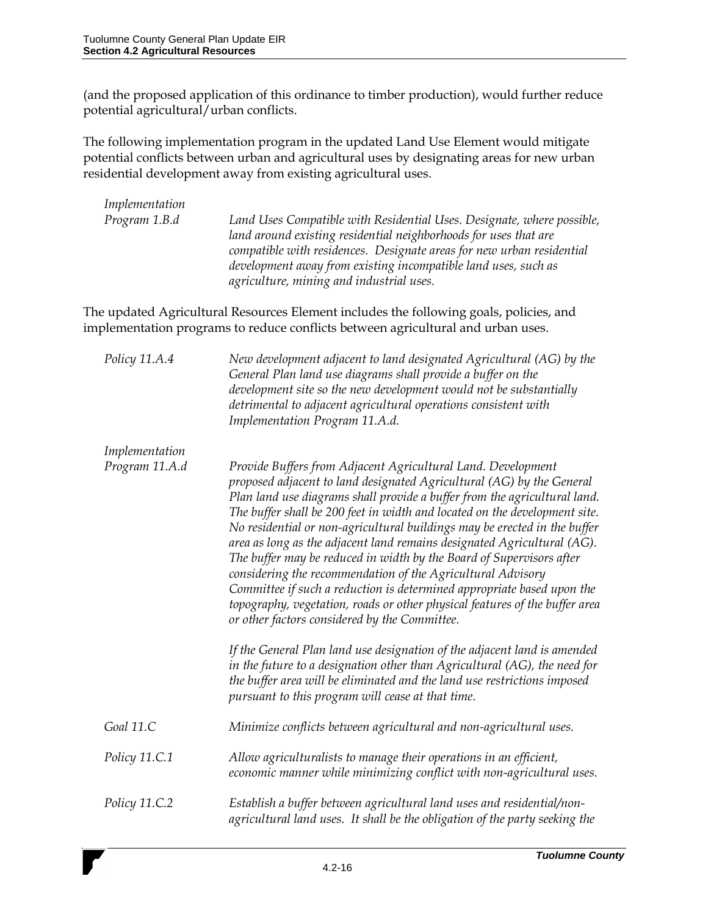(and the proposed application of this ordinance to timber production), would further reduce potential agricultural/urban conflicts.

The following implementation program in the updated Land Use Element would mitigate potential conflicts between urban and agricultural uses by designating areas for new urban residential development away from existing agricultural uses.

| Implementation                   |                                                                                                                                                                                                                                                                                                                                                                                                                                                                                                                                                                                                                                                                                                                                                                                                                                                                                                                                                                                                                                                                                                     |
|----------------------------------|-----------------------------------------------------------------------------------------------------------------------------------------------------------------------------------------------------------------------------------------------------------------------------------------------------------------------------------------------------------------------------------------------------------------------------------------------------------------------------------------------------------------------------------------------------------------------------------------------------------------------------------------------------------------------------------------------------------------------------------------------------------------------------------------------------------------------------------------------------------------------------------------------------------------------------------------------------------------------------------------------------------------------------------------------------------------------------------------------------|
| Program 1.B.d                    | Land Uses Compatible with Residential Uses. Designate, where possible,<br>land around existing residential neighborhoods for uses that are<br>compatible with residences. Designate areas for new urban residential<br>development away from existing incompatible land uses, such as<br>agriculture, mining and industrial uses.                                                                                                                                                                                                                                                                                                                                                                                                                                                                                                                                                                                                                                                                                                                                                                   |
|                                  | The updated Agricultural Resources Element includes the following goals, policies, and<br>implementation programs to reduce conflicts between agricultural and urban uses.                                                                                                                                                                                                                                                                                                                                                                                                                                                                                                                                                                                                                                                                                                                                                                                                                                                                                                                          |
| Policy 11.A.4                    | New development adjacent to land designated Agricultural (AG) by the<br>General Plan land use diagrams shall provide a buffer on the<br>development site so the new development would not be substantially<br>detrimental to adjacent agricultural operations consistent with<br>Implementation Program 11.A.d.                                                                                                                                                                                                                                                                                                                                                                                                                                                                                                                                                                                                                                                                                                                                                                                     |
| Implementation<br>Program 11.A.d | Provide Buffers from Adjacent Agricultural Land. Development<br>proposed adjacent to land designated Agricultural (AG) by the General<br>Plan land use diagrams shall provide a buffer from the agricultural land.<br>The buffer shall be 200 feet in width and located on the development site.<br>No residential or non-agricultural buildings may be erected in the buffer<br>area as long as the adjacent land remains designated Agricultural (AG).<br>The buffer may be reduced in width by the Board of Supervisors after<br>considering the recommendation of the Agricultural Advisory<br>Committee if such a reduction is determined appropriate based upon the<br>topography, vegetation, roads or other physical features of the buffer area<br>or other factors considered by the Committee.<br>If the General Plan land use designation of the adjacent land is amended<br>in the future to a designation other than Agricultural (AG), the need for<br>the buffer area will be eliminated and the land use restrictions imposed<br>pursuant to this program will cease at that time. |
| Goal 11.C                        | Minimize conflicts between agricultural and non-agricultural uses.                                                                                                                                                                                                                                                                                                                                                                                                                                                                                                                                                                                                                                                                                                                                                                                                                                                                                                                                                                                                                                  |
| Policy 11.C.1                    | Allow agriculturalists to manage their operations in an efficient,<br>economic manner while minimizing conflict with non-agricultural uses.                                                                                                                                                                                                                                                                                                                                                                                                                                                                                                                                                                                                                                                                                                                                                                                                                                                                                                                                                         |
| Policy 11.C.2                    | Establish a buffer between agricultural land uses and residential/non-<br>agricultural land uses. It shall be the obligation of the party seeking the                                                                                                                                                                                                                                                                                                                                                                                                                                                                                                                                                                                                                                                                                                                                                                                                                                                                                                                                               |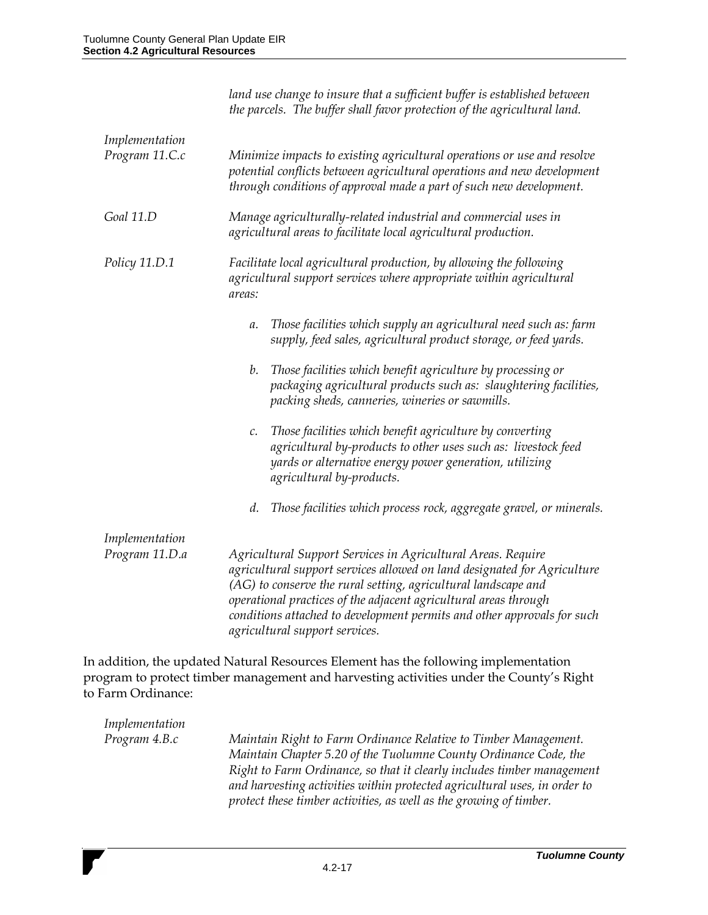|                                  | land use change to insure that a sufficient buffer is established between<br>the parcels. The buffer shall favor protection of the agricultural land.                                                                                                                                                                                                                                       |
|----------------------------------|---------------------------------------------------------------------------------------------------------------------------------------------------------------------------------------------------------------------------------------------------------------------------------------------------------------------------------------------------------------------------------------------|
| Implementation<br>Program 11.C.c | Minimize impacts to existing agricultural operations or use and resolve<br>potential conflicts between agricultural operations and new development<br>through conditions of approval made a part of such new development.                                                                                                                                                                   |
| Goal 11.D                        | Manage agriculturally-related industrial and commercial uses in<br>agricultural areas to facilitate local agricultural production.                                                                                                                                                                                                                                                          |
| Policy 11.D.1                    | Facilitate local agricultural production, by allowing the following<br>agricultural support services where appropriate within agricultural<br>areas:                                                                                                                                                                                                                                        |
|                                  | Those facilities which supply an agricultural need such as: farm<br>a.<br>supply, feed sales, agricultural product storage, or feed yards.                                                                                                                                                                                                                                                  |
|                                  | Those facilities which benefit agriculture by processing or<br>b.<br>packaging agricultural products such as: slaughtering facilities,<br>packing sheds, canneries, wineries or sawmills.                                                                                                                                                                                                   |
|                                  | Those facilities which benefit agriculture by converting<br>c.<br>agricultural by-products to other uses such as: livestock feed<br>yards or alternative energy power generation, utilizing<br>agricultural by-products.                                                                                                                                                                    |
|                                  | Those facilities which process rock, aggregate gravel, or minerals.<br>d.                                                                                                                                                                                                                                                                                                                   |
| Implementation<br>Program 11.D.a | Agricultural Support Services in Agricultural Areas. Require<br>agricultural support services allowed on land designated for Agriculture<br>(AG) to conserve the rural setting, agricultural landscape and<br>operational practices of the adjacent agricultural areas through<br>conditions attached to development permits and other approvals for such<br>agricultural support services. |
|                                  | ddition, the undeted Metund December Element has the following incubance this                                                                                                                                                                                                                                                                                                               |

In addition, the updated Natural Resources Element has the following implementation program to protect timber management and harvesting activities under the County's Right to Farm Ordinance:

| Implementation |                                                                           |
|----------------|---------------------------------------------------------------------------|
| Program 4.B.c  | Maintain Right to Farm Ordinance Relative to Timber Management.           |
|                | Maintain Chapter 5.20 of the Tuolumne County Ordinance Code, the          |
|                | Right to Farm Ordinance, so that it clearly includes timber management    |
|                | and harvesting activities within protected agricultural uses, in order to |
|                | protect these timber activities, as well as the growing of timber.        |